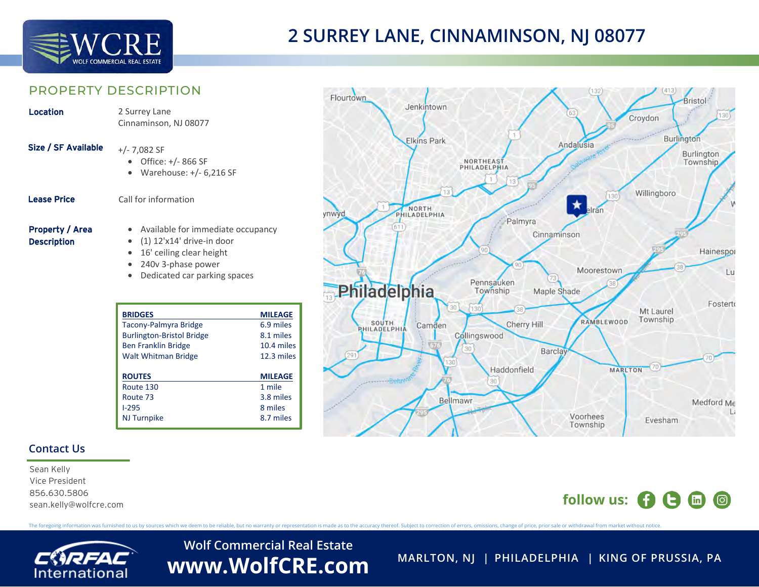

# **2 SURREY LANE, CINNAMINSON, NJ 08077**

Jenkintown

### PROPERTY DESCRIPTION

| Location                                     | 2 Surrey Lane<br>Cinnaminson, NJ 08077                                                                                                                       |
|----------------------------------------------|--------------------------------------------------------------------------------------------------------------------------------------------------------------|
| Size / SF Available                          | $+/- 7,082$ SF<br>• Office: +/- 866 SF<br>Warehouse: $+/- 6,216$ SF<br>$\bullet$                                                                             |
| <b>Lease Price</b>                           | Call for information                                                                                                                                         |
| <b>Property / Area</b><br><b>Description</b> | • Available for immediate occupancy<br>$\bullet$ (1) 12'x14' drive-in door<br>16' ceiling clear height<br>240y 3-phase power<br>Dedicated car parking spaces |

| <b>BRIDGES</b>                   | <b>MILEAGE</b> |
|----------------------------------|----------------|
| <b>Tacony-Palmyra Bridge</b>     | 6.9 miles      |
| <b>Burlington-Bristol Bridge</b> | 8.1 miles      |
| <b>Ben Franklin Bridge</b>       | 10.4 miles     |
| <b>Walt Whitman Bridge</b>       | $12.3$ miles   |
|                                  |                |
| <b>ROUTES</b>                    | <b>MILEAGE</b> |
| Route 130                        | 1 mile         |
| Route 73                         | 3.8 miles      |
| $1-295$                          | 8 miles        |
|                                  |                |

#### Croydon Burlington **Elkins Park** Andalusia Burlington NORTHEAST<br>PHILADELPHIA **Township** Willingboro NORTH vnwyd Palmyra Cinnaminson Hainespor Moorestown Pennsauken Philadelphia Township Maple Shade Fosterto Mt Laurel Township RAMBLEWOOD SOUTH Cherry Hill Camden **PHILADELPHIA** Collingswood **Barclay** Haddonfield **MARLTON** Bellmawr Medford Me Voorhees

### **Contact Us**

Sean Kelly Vice President 856.630.5806 sean.kelly@wolfcre.com

# **follow us:**  $\bullet$   $\bullet$   $\bullet$   $\bullet$   $\bullet$

Evesham

**Bristol** 

Lu

The foregoing information was furnished to us by sources which we deem to be reliable, but no warranty or representation is made as to the accuracy thereof. Subject to correction of errors, omissions, change of price, prio

**Flourtown** 



**Wolf Commercial Real Estate** WWW.WolfCRE.com MARLTON, NJ | PHILADELPHIA | KING OF PRUSSIA, PA

Township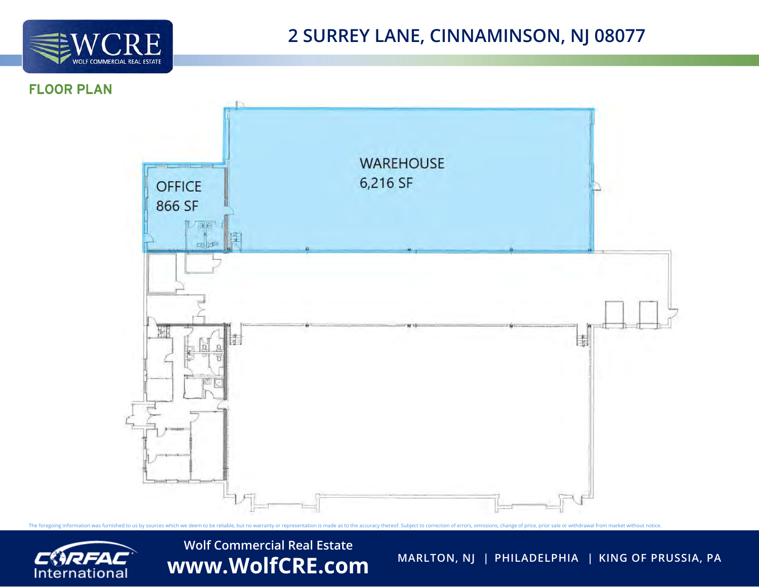

## FLOOR PLAN





**Wolf Commercial Real Estate** WWW.WolfCRE.com MARLTON, NJ | PHILADELPHIA | KING OF PRUSSIA, PA

The foregoing information was furnished to us by sources which we deem to be reliable, but no warranty or representation is made as to the accuracy thereof. Subject to correction of errors, omissions, change of price, prio